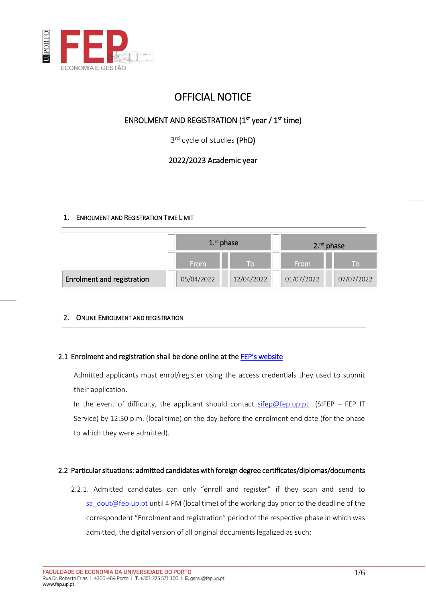

# OFFICIAL NOTICE

# ENROLMENT AND REGISTRATION  $(1<sup>st</sup>$  year /  $1<sup>st</sup>$  time)

3<sup>rd</sup> cycle of studies (PhD)

# 2022/2023 Academic year

# 1. ENROLMENT AND REGISTRATION TIME LIMIT

|                            | 1. <sup>st</sup> phase |                | $2.^{nd}$ phase |            |
|----------------------------|------------------------|----------------|-----------------|------------|
|                            | From                   | $\blacksquare$ | <b>From</b>     | To         |
| Enrolment and registration | 05/04/2022             | 12/04/2022     | 01/07/2022      | 07/07/2022 |

# 2. ONLINE ENROLMENT AND REGISTRATION

# 2.1 Enrolment and registration shall be done online at the FEP's website

Admitted applicants must enrol/register using the access credentials they used to submit their application.

In the event of difficulty, the applicant should contact [sifep@fep.up.pt](mailto:sifep@fep.up.pt) (SIFEP – FEP IT Service) by 12:30 p.m. (local time) on the day before the enrolment end date (for the phase to which they were admitted).

# 2.2 Particular situations: admitted candidates with foreign degree certificates/diplomas/documents

2.2.1. Admitted candidates can only "enroll and register" if they scan and send to [sa\\_dout@fep.up.pt](mailto:sa_dout@fep.up.pt) until 4 PM (local time) of the working day prior to the deadline of the correspondent "Enrolment and registration" period of the respective phase in which was admitted, the digital version of all original documents legalized as such: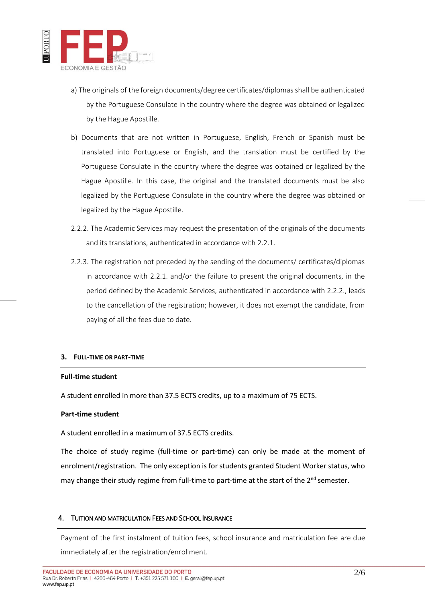

- a) The originals of the foreign documents/degree certificates/diplomas shall be authenticated by the Portuguese Consulate in the country where the degree was obtained or legalized by the Hague Apostille.
- b) Documents that are not written in Portuguese, English, French or Spanish must be translated into Portuguese or English, and the translation must be certified by the Portuguese Consulate in the country where the degree was obtained or legalized by the Hague Apostille. In this case, the original and the translated documents must be also legalized by the Portuguese Consulate in the country where the degree was obtained or legalized by the Hague Apostille.
- 2.2.2. The Academic Services may request the presentation of the originals of the documents and its translations, authenticated in accordance with 2.2.1.
- 2.2.3. The registration not preceded by the sending of the documents/ certificates/diplomas in accordance with 2.2.1. and/or the failure to present the original documents, in the period defined by the Academic Services, authenticated in accordance with 2.2.2., leads to the cancellation of the registration; however, it does not exempt the candidate, from paying of all the fees due to date.

#### **3. FULL-TIME OR PART-TIME**

#### **Full-time student**

A student enrolled in more than 37.5 ECTS credits, up to a maximum of 75 ECTS.

#### **Part-time student**

A student enrolled in a maximum of 37.5 ECTS credits.

The choice of study regime (full-time or part-time) can only be made at the moment of enrolment/registration. The only exception is for students granted Student Worker status, who may change their study regime from full-time to part-time at the start of the  $2<sup>nd</sup>$  semester.

# 4. TUITION AND MATRICULATION FEES AND SCHOOL INSURANCE

Payment of the first instalment of tuition fees, school insurance and matriculation fee are due immediately after the registration/enrollment.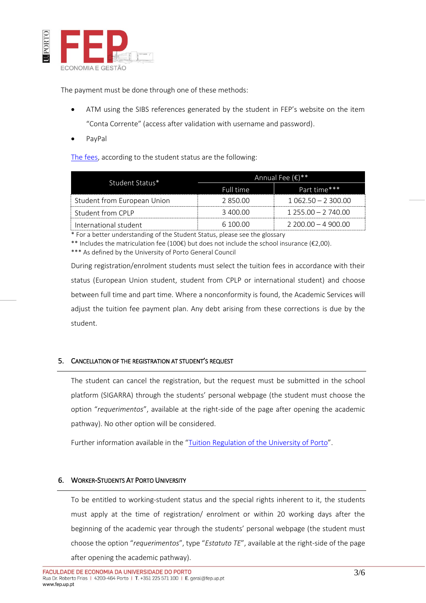

The payment must be done through one of these methods:

- ATM using the SIBS references generated by the student in FEP's website on the item "Conta Corrente" (access after validation with username and password).
- PayPal

[The fees,](https://sigarra.up.pt/fep/en/WEB_BASE.GERA_PAGINA?p_pagina=1025931) according to the student status are the following:

| Student Status*             | Annual Fee $(\epsilon)^{**}$ |                     |  |
|-----------------------------|------------------------------|---------------------|--|
|                             | Full time                    | Part time***        |  |
| Student from European Union | 2 850 00                     | $1062.50 - 2300.00$ |  |
| - Student from CPI P        | -3 400 00                    | $1.25500 - 2.74000$ |  |
| International student       | 6 100 00                     | $2.20000 - 4.90000$ |  |

\* For a better understanding of the Student Status, please see the glossary

\*\* Includes the matriculation fee (100€) but does not include the school insurance (€2,00).

\*\*\* As defined by the University of Porto General Council

During registration/enrolment students must select the tuition fees in accordance with their status (European Union student, student from CPLP or international student) and choose between full time and part time. Where a nonconformity is found, the Academic Services will adjust the tuition fee payment plan. Any debt arising from these corrections is due by the student.

# 5. CANCELLATION OF THE REGISTRATION AT STUDENT'S REQUEST

The student can cancel the registration, but the request must be submitted in the school platform (SIGARRA) through the students' personal webpage (the student must choose the option "*requerimentos*", available at the right-side of the page after opening the academic pathway). No other option will be considered.

Further information available in the "[Tuition Regulation of the University of Porto](https://sigarra.up.pt/fep/pt/WEB_BASE.GERA_PAGINA?p_pagina=1025931)".

# 6. WORKER-STUDENTS AT PORTO UNIVERSITY

To be entitled to working-student status and the special rights inherent to it, the students must apply at the time of registration/ enrolment or within 20 working days after the beginning of the academic year through the students' personal webpage (the student must choose the option "*requerimentos*", type "*Estatuto TE*", available at the right-side of the page after opening the academic pathway).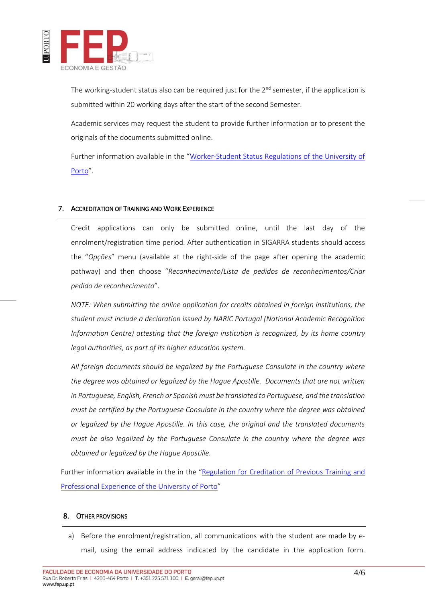

The working-student status also can be required just for the  $2^{nd}$  semester, if the application is submitted within 20 working days after the start of the second Semester.

Academic services may request the student to provide further information or to present the originals of the documents submitted online.

Further information available in the "[Worker-Student Status Regulations of the University of](https://sigarra.up.pt/fep/pt/WEB_BASE.GERA_PAGINA?p_pagina=1024613)  [Porto](https://sigarra.up.pt/fep/pt/WEB_BASE.GERA_PAGINA?p_pagina=1024613)".

# 7. ACCREDITATION OF TRAINING AND WORK EXPERIENCE

Credit applications can only be submitted online, until the last day of the enrolment/registration time period. After authentication in SIGARRA students should access the "*Opções*" menu (available at the right-side of the page after opening the academic pathway) and then choose "*Reconhecimento*/*Lista de pedidos de reconhecimentos/Criar pedido de reconhecimento*".

*NOTE: When submitting the online application for credits obtained in foreign institutions, the student must include a declaration issued by NARIC Portugal (National Academic Recognition Information Centre) attesting that the foreign institution is recognized, by its home country legal authorities, as part of its higher education system.*

*All foreign documents should be legalized by the Portuguese Consulate in the country where the degree was obtained or legalized by the Hague Apostille. Documents that are not written in Portuguese, English, French or Spanish must be translated to Portuguese, and the translation must be certified by the Portuguese Consulate in the country where the degree was obtained or legalized by the Hague Apostille. In this case, the original and the translated documents must be also legalized by the Portuguese Consulate in the country where the degree was obtained or legalized by the Hague Apostille.*

Further information available in the in the "Regulation for Creditation of Previous Training and [Professional Experience of the University of Porto](https://sigarra.up.pt/fep/pt/WEB_BASE.GERA_PAGINA?p_pagina=1026631)"

#### 8. OTHER PROVISIONS

a) Before the enrolment/registration, all communications with the student are made by email, using the email address indicated by the candidate in the application form.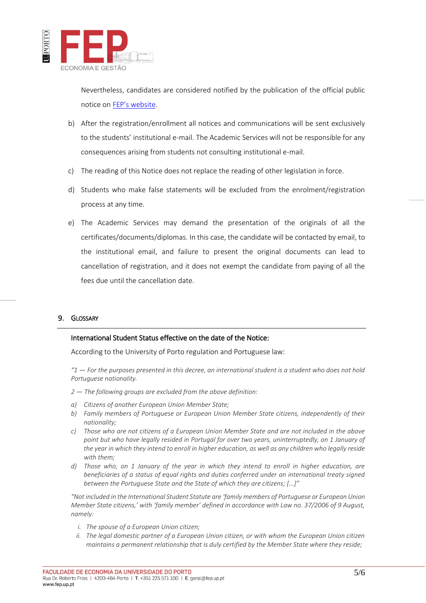

Nevertheless, candidates are considered notified by the publication of the official public notice on [FEP's website](https://sigarra.up.pt/fep/en/web_page.Inicial).

- b) After the registration/enrollment all notices and communications will be sent exclusively to the students' institutional e-mail. The Academic Services will not be responsible for any consequences arising from students not consulting institutional e-mail.
- c) The reading of this Notice does not replace the reading of other legislation in force.
- d) Students who make false statements will be excluded from the enrolment/registration process at any time.
- e) The Academic Services may demand the presentation of the originals of all the certificates/documents/diplomas. In this case, the candidate will be contacted by email, to the institutional email, and failure to present the original documents can lead to cancellation of registration, and it does not exempt the candidate from paying of all the fees due until the cancellation date.

#### 9. GLOSSARY

#### International Student Status effective on the date of the Notice:

According to the University of Porto regulation and Portuguese law:

*"1 — For the purposes presented in this decree, an international student is a student who does not hold Portuguese nationality.* 

- *2 — The following groups are excluded from the above definition:*
- *a) Citizens of another European Union Member State;*
- *b) Family members of Portuguese or European Union Member State citizens, independently of their nationality;*
- *c) Those who are not citizens of a European Union Member State and are not included in the above point but who have legally resided in Portugal for over two years, uninterruptedly, on 1 January of the year in which they intend to enroll in higher education, as well as any children who legally reside with them;*
- *d) Those who, on 1 January of the year in which they intend to enroll in higher education, are beneficiaries of a status of equal rights and duties conferred under an international treaty signed between the Portuguese State and the State of which they are citizens; [...]"*

*"Not included in the International Student Statute are 'family members of Portuguese or European Union Member State citizens,' with 'family member' defined in accordance with Law no. 37/2006 of 9 August, namely:*

- *i. The spouse of a European Union citizen;*
- *ii. The legal domestic partner of a European Union citizen, or with whom the European Union citizen maintains a permanent relationship that is duly certified by the Member State where they reside;*